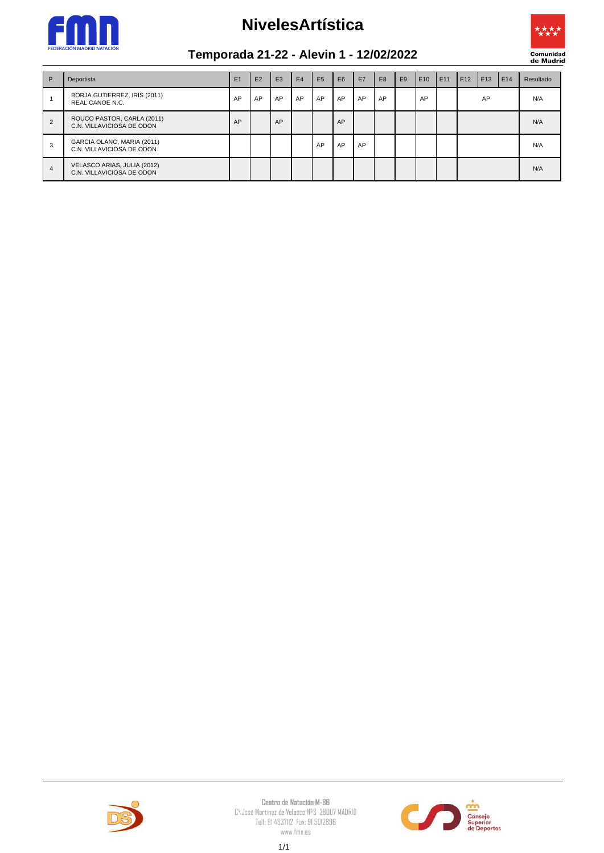

## **NivelesArtística**



## **Temporada 21-22 - Alevin 1 - 12/02/2022**

| <b>P.</b>      | Deportista                                               | E1 | E2 | E3 | E4 | <b>E5</b> | E <sub>6</sub> | E7 | E <sub>8</sub> | E <sub>9</sub> | E10 | E11 | E12 | E13 | E14 | Resultado |
|----------------|----------------------------------------------------------|----|----|----|----|-----------|----------------|----|----------------|----------------|-----|-----|-----|-----|-----|-----------|
|                | BORJA GUTIERREZ, IRIS (2011)<br>REAL CANOE N.C.          | AP | AP | AP | AP | AP        | AP             | AP | AP             |                | AP  |     |     | AP  |     | N/A       |
| $\overline{2}$ | ROUCO PASTOR, CARLA (2011)<br>C.N. VILLAVICIOSA DE ODON  | AP |    | AP |    |           | AP             |    |                |                |     |     |     |     |     | N/A       |
| 3              | GARCIA OLANO, MARIA (2011)<br>C.N. VILLAVICIOSA DE ODON  |    |    |    |    | AP        | AP             | AP |                |                |     |     |     |     |     | N/A       |
| 4              | VELASCO ARIAS, JULIA (2012)<br>C.N. VILLAVICIOSA DE ODON |    |    |    |    |           |                |    |                |                |     |     |     |     |     | N/A       |